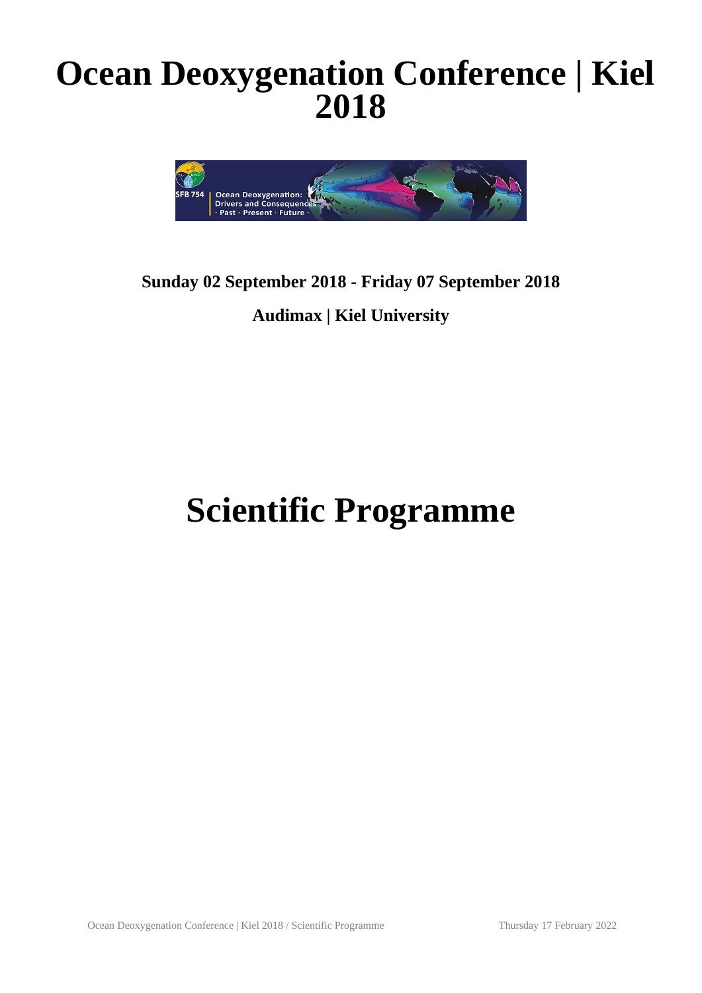## **Ocean Deoxygenation Conference | Kiel 2018**



### **Sunday 02 September 2018 - Friday 07 September 2018 Audimax | Kiel University**

# **Scientific Programme**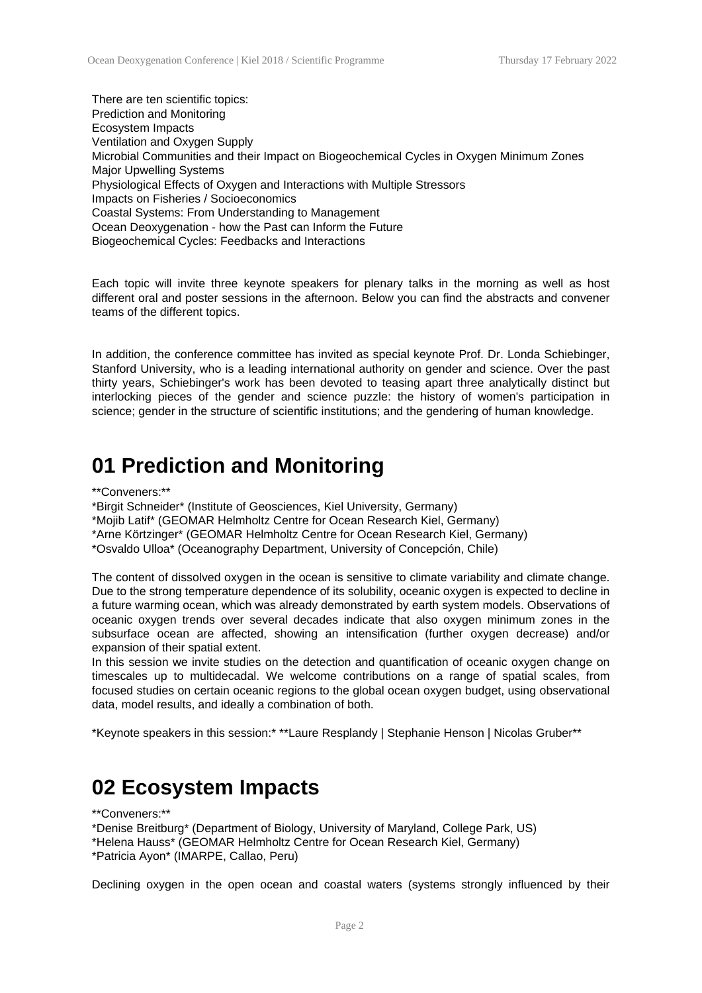There are ten scientific topics: Prediction and Monitoring Ecosystem Impacts Ventilation and Oxygen Supply Microbial Communities and their Impact on Biogeochemical Cycles in Oxygen Minimum Zones Major Upwelling Systems Physiological Effects of Oxygen and Interactions with Multiple Stressors Impacts on Fisheries / Socioeconomics Coastal Systems: From Understanding to Management Ocean Deoxygenation - how the Past can Inform the Future Biogeochemical Cycles: Feedbacks and Interactions

Each topic will invite three keynote speakers for plenary talks in the morning as well as host different oral and poster sessions in the afternoon. Below you can find the abstracts and convener teams of the different topics.

In addition, the conference committee has invited as special keynote Prof. Dr. Londa Schiebinger, Stanford University, who is a leading international authority on gender and science. Over the past thirty years, Schiebinger's work has been devoted to teasing apart three analytically distinct but interlocking pieces of the gender and science puzzle: the history of women's participation in science; gender in the structure of scientific institutions; and the gendering of human knowledge.

### **01 Prediction and Monitoring**

\*\*Conveners:\*\*

\*Birgit Schneider\* (Institute of Geosciences, Kiel University, Germany) \*Mojib Latif\* (GEOMAR Helmholtz Centre for Ocean Research Kiel, Germany) \*Arne Körtzinger\* (GEOMAR Helmholtz Centre for Ocean Research Kiel, Germany) \*Osvaldo Ulloa\* (Oceanography Department, University of Concepción, Chile)

The content of dissolved oxygen in the ocean is sensitive to climate variability and climate change. Due to the strong temperature dependence of its solubility, oceanic oxygen is expected to decline in a future warming ocean, which was already demonstrated by earth system models. Observations of oceanic oxygen trends over several decades indicate that also oxygen minimum zones in the subsurface ocean are affected, showing an intensification (further oxygen decrease) and/or expansion of their spatial extent.

In this session we invite studies on the detection and quantification of oceanic oxygen change on timescales up to multidecadal. We welcome contributions on a range of spatial scales, from focused studies on certain oceanic regions to the global ocean oxygen budget, using observational data, model results, and ideally a combination of both.

\*Keynote speakers in this session:\* \*\*Laure Resplandy | Stephanie Henson | Nicolas Gruber\*\*

### **02 Ecosystem Impacts**

\*\*Conveners:\*\*

\*Denise Breitburg\* (Department of Biology, University of Maryland, College Park, US) \*Helena Hauss\* (GEOMAR Helmholtz Centre for Ocean Research Kiel, Germany)

\*Patricia Ayon\* (IMARPE, Callao, Peru)

Declining oxygen in the open ocean and coastal waters (systems strongly influenced by their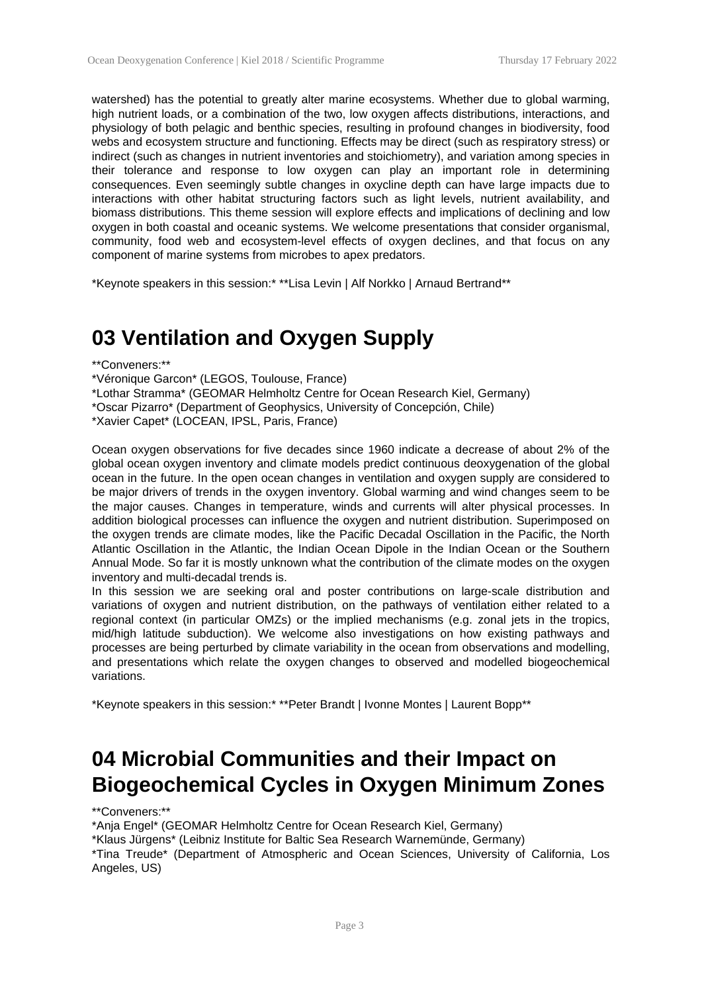watershed) has the potential to greatly alter marine ecosystems. Whether due to global warming, high nutrient loads, or a combination of the two, low oxygen affects distributions, interactions, and physiology of both pelagic and benthic species, resulting in profound changes in biodiversity, food webs and ecosystem structure and functioning. Effects may be direct (such as respiratory stress) or indirect (such as changes in nutrient inventories and stoichiometry), and variation among species in their tolerance and response to low oxygen can play an important role in determining consequences. Even seemingly subtle changes in oxycline depth can have large impacts due to interactions with other habitat structuring factors such as light levels, nutrient availability, and biomass distributions. This theme session will explore effects and implications of declining and low oxygen in both coastal and oceanic systems. We welcome presentations that consider organismal, community, food web and ecosystem-level effects of oxygen declines, and that focus on any component of marine systems from microbes to apex predators.

\*Keynote speakers in this session:\* \*\*Lisa Levin | Alf Norkko | Arnaud Bertrand\*\*

### **03 Ventilation and Oxygen Supply**

\*\*Conveners:\*\*

\*Véronique Garcon\* (LEGOS, Toulouse, France)

\*Lothar Stramma\* (GEOMAR Helmholtz Centre for Ocean Research Kiel, Germany) \*Oscar Pizarro\* (Department of Geophysics, University of Concepción, Chile) \*Xavier Capet\* (LOCEAN, IPSL, Paris, France)

Ocean oxygen observations for five decades since 1960 indicate a decrease of about 2% of the global ocean oxygen inventory and climate models predict continuous deoxygenation of the global ocean in the future. In the open ocean changes in ventilation and oxygen supply are considered to be major drivers of trends in the oxygen inventory. Global warming and wind changes seem to be the major causes. Changes in temperature, winds and currents will alter physical processes. In addition biological processes can influence the oxygen and nutrient distribution. Superimposed on the oxygen trends are climate modes, like the Pacific Decadal Oscillation in the Pacific, the North Atlantic Oscillation in the Atlantic, the Indian Ocean Dipole in the Indian Ocean or the Southern Annual Mode. So far it is mostly unknown what the contribution of the climate modes on the oxygen inventory and multi-decadal trends is.

In this session we are seeking oral and poster contributions on large-scale distribution and variations of oxygen and nutrient distribution, on the pathways of ventilation either related to a regional context (in particular OMZs) or the implied mechanisms (e.g. zonal jets in the tropics, mid/high latitude subduction). We welcome also investigations on how existing pathways and processes are being perturbed by climate variability in the ocean from observations and modelling, and presentations which relate the oxygen changes to observed and modelled biogeochemical variations.

\*Keynote speakers in this session:\* \*\*Peter Brandt | Ivonne Montes | Laurent Bopp\*\*

### **04 Microbial Communities and their Impact on Biogeochemical Cycles in Oxygen Minimum Zones**

\*\*Conveners:\*\*

\*Anja Engel\* (GEOMAR Helmholtz Centre for Ocean Research Kiel, Germany)

\*Klaus Jürgens\* (Leibniz Institute for Baltic Sea Research Warnemünde, Germany)

\*Tina Treude\* (Department of Atmospheric and Ocean Sciences, University of California, Los Angeles, US)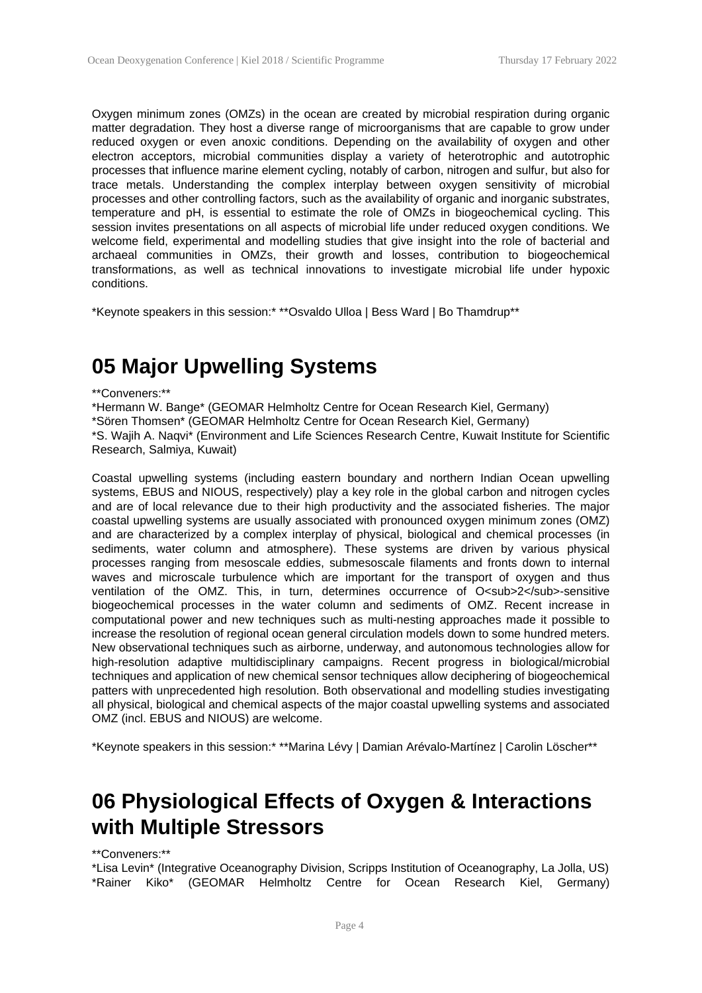Oxygen minimum zones (OMZs) in the ocean are created by microbial respiration during organic matter degradation. They host a diverse range of microorganisms that are capable to grow under reduced oxygen or even anoxic conditions. Depending on the availability of oxygen and other electron acceptors, microbial communities display a variety of heterotrophic and autotrophic processes that influence marine element cycling, notably of carbon, nitrogen and sulfur, but also for trace metals. Understanding the complex interplay between oxygen sensitivity of microbial processes and other controlling factors, such as the availability of organic and inorganic substrates, temperature and pH, is essential to estimate the role of OMZs in biogeochemical cycling. This session invites presentations on all aspects of microbial life under reduced oxygen conditions. We welcome field, experimental and modelling studies that give insight into the role of bacterial and archaeal communities in OMZs, their growth and losses, contribution to biogeochemical transformations, as well as technical innovations to investigate microbial life under hypoxic conditions.

\*Keynote speakers in this session:\* \*\*Osvaldo Ulloa | Bess Ward | Bo Thamdrup\*\*

### **05 Major Upwelling Systems**

#### \*\*Conveners:\*\*

\*Hermann W. Bange\* (GEOMAR Helmholtz Centre for Ocean Research Kiel, Germany) \*Sören Thomsen\* (GEOMAR Helmholtz Centre for Ocean Research Kiel, Germany) \*S. Wajih A. Naqvi\* (Environment and Life Sciences Research Centre, Kuwait Institute for Scientific Research, Salmiya, Kuwait)

Coastal upwelling systems (including eastern boundary and northern Indian Ocean upwelling systems, EBUS and NIOUS, respectively) play a key role in the global carbon and nitrogen cycles and are of local relevance due to their high productivity and the associated fisheries. The major coastal upwelling systems are usually associated with pronounced oxygen minimum zones (OMZ) and are characterized by a complex interplay of physical, biological and chemical processes (in sediments, water column and atmosphere). These systems are driven by various physical processes ranging from mesoscale eddies, submesoscale filaments and fronts down to internal waves and microscale turbulence which are important for the transport of oxygen and thus ventilation of the OMZ. This, in turn, determines occurrence of O<sub>2</sub>-sensitive biogeochemical processes in the water column and sediments of OMZ. Recent increase in computational power and new techniques such as multi-nesting approaches made it possible to increase the resolution of regional ocean general circulation models down to some hundred meters. New observational techniques such as airborne, underway, and autonomous technologies allow for high-resolution adaptive multidisciplinary campaigns. Recent progress in biological/microbial techniques and application of new chemical sensor techniques allow deciphering of biogeochemical patters with unprecedented high resolution. Both observational and modelling studies investigating all physical, biological and chemical aspects of the major coastal upwelling systems and associated OMZ (incl. EBUS and NIOUS) are welcome.

\*Keynote speakers in this session:\* \*\*Marina Lévy | Damian Arévalo-Martínez | Carolin Löscher\*\*

### **06 Physiological Effects of Oxygen & Interactions with Multiple Stressors**

#### \*\*Conveners:\*\*

\*Lisa Levin\* (Integrative Oceanography Division, Scripps Institution of Oceanography, La Jolla, US) \*Rainer Kiko\* (GEOMAR Helmholtz Centre for Ocean Research Kiel, Germany)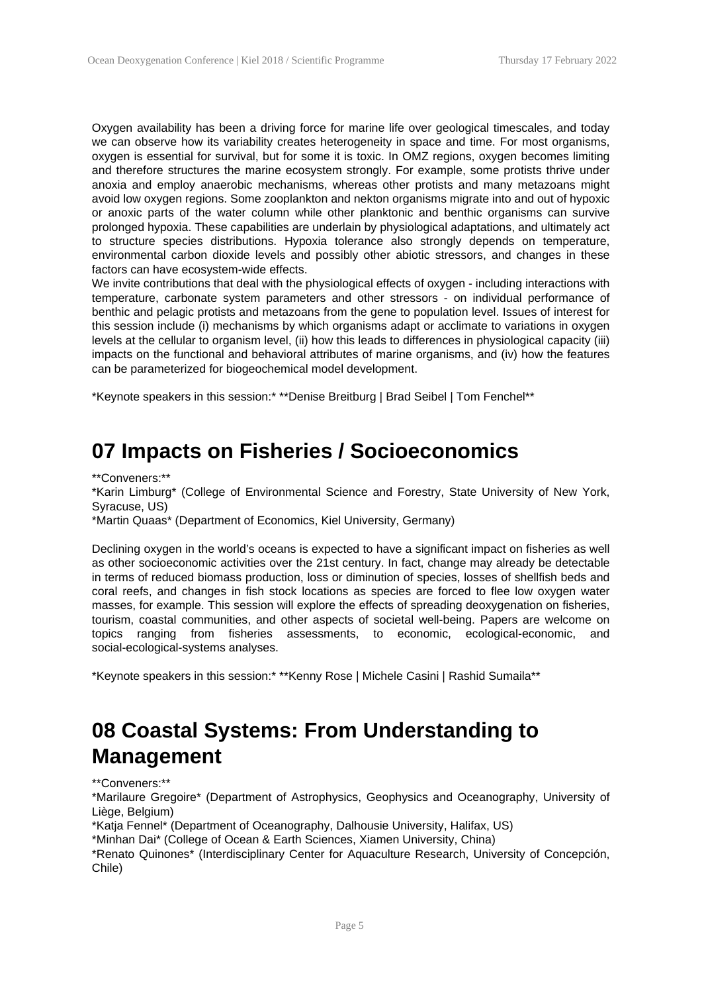Oxygen availability has been a driving force for marine life over geological timescales, and today we can observe how its variability creates heterogeneity in space and time. For most organisms, oxygen is essential for survival, but for some it is toxic. In OMZ regions, oxygen becomes limiting and therefore structures the marine ecosystem strongly. For example, some protists thrive under anoxia and employ anaerobic mechanisms, whereas other protists and many metazoans might avoid low oxygen regions. Some zooplankton and nekton organisms migrate into and out of hypoxic or anoxic parts of the water column while other planktonic and benthic organisms can survive prolonged hypoxia. These capabilities are underlain by physiological adaptations, and ultimately act to structure species distributions. Hypoxia tolerance also strongly depends on temperature, environmental carbon dioxide levels and possibly other abiotic stressors, and changes in these factors can have ecosystem-wide effects.

We invite contributions that deal with the physiological effects of oxygen - including interactions with temperature, carbonate system parameters and other stressors - on individual performance of benthic and pelagic protists and metazoans from the gene to population level. Issues of interest for this session include (i) mechanisms by which organisms adapt or acclimate to variations in oxygen levels at the cellular to organism level, (ii) how this leads to differences in physiological capacity (iii) impacts on the functional and behavioral attributes of marine organisms, and (iv) how the features can be parameterized for biogeochemical model development.

\*Keynote speakers in this session:\* \*\*Denise Breitburg | Brad Seibel | Tom Fenchel\*\*

### **07 Impacts on Fisheries / Socioeconomics**

\*\*Conveners:\*\*

\*Karin Limburg\* (College of Environmental Science and Forestry, State University of New York, Syracuse, US)

\*Martin Quaas\* (Department of Economics, Kiel University, Germany)

Declining oxygen in the world's oceans is expected to have a significant impact on fisheries as well as other socioeconomic activities over the 21st century. In fact, change may already be detectable in terms of reduced biomass production, loss or diminution of species, losses of shellfish beds and coral reefs, and changes in fish stock locations as species are forced to flee low oxygen water masses, for example. This session will explore the effects of spreading deoxygenation on fisheries, tourism, coastal communities, and other aspects of societal well-being. Papers are welcome on topics ranging from fisheries assessments, to economic, ecological-economic, and social-ecological-systems analyses.

\*Keynote speakers in this session:\* \*\*Kenny Rose | Michele Casini | Rashid Sumaila\*\*

### **08 Coastal Systems: From Understanding to Management**

\*\*Conveners:\*\*

\*Marilaure Gregoire\* (Department of Astrophysics, Geophysics and Oceanography, University of Liège, Belgium)

\*Katja Fennel\* (Department of Oceanography, Dalhousie University, Halifax, US)

\*Minhan Dai\* (College of Ocean & Earth Sciences, Xiamen University, China)

\*Renato Quinones\* (Interdisciplinary Center for Aquaculture Research, University of Concepción, Chile)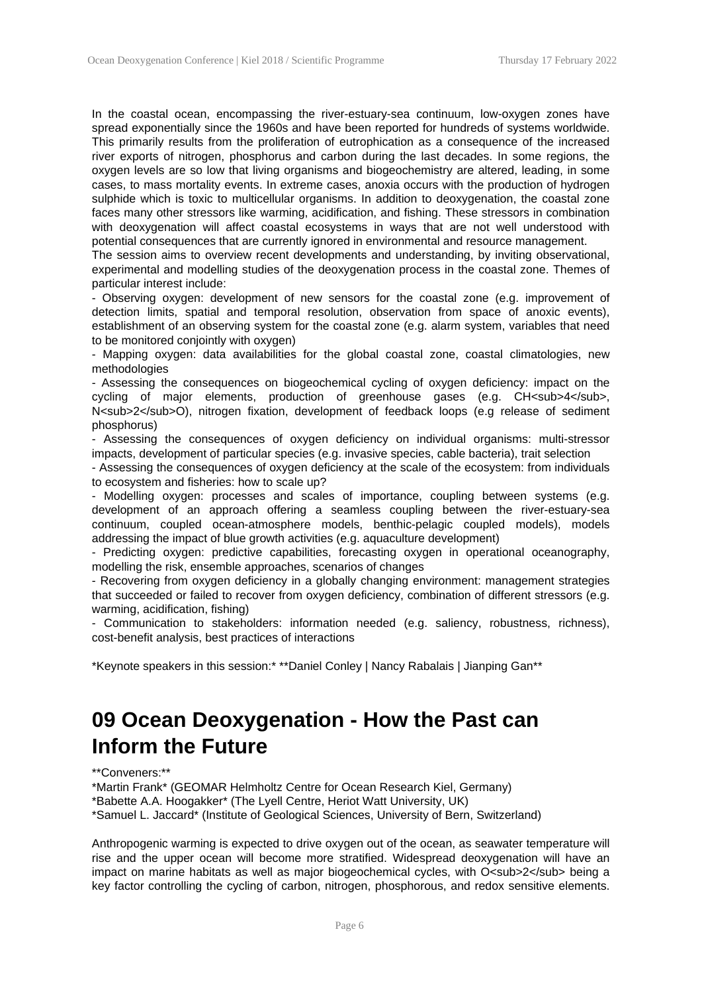In the coastal ocean, encompassing the river-estuary-sea continuum, low-oxygen zones have spread exponentially since the 1960s and have been reported for hundreds of systems worldwide. This primarily results from the proliferation of eutrophication as a consequence of the increased river exports of nitrogen, phosphorus and carbon during the last decades. In some regions, the oxygen levels are so low that living organisms and biogeochemistry are altered, leading, in some cases, to mass mortality events. In extreme cases, anoxia occurs with the production of hydrogen sulphide which is toxic to multicellular organisms. In addition to deoxygenation, the coastal zone faces many other stressors like warming, acidification, and fishing. These stressors in combination with deoxygenation will affect coastal ecosystems in ways that are not well understood with potential consequences that are currently ignored in environmental and resource management.

The session aims to overview recent developments and understanding, by inviting observational, experimental and modelling studies of the deoxygenation process in the coastal zone. Themes of particular interest include:

- Observing oxygen: development of new sensors for the coastal zone (e.g. improvement of detection limits, spatial and temporal resolution, observation from space of anoxic events), establishment of an observing system for the coastal zone (e.g. alarm system, variables that need to be monitored conjointly with oxygen)

- Mapping oxygen: data availabilities for the global coastal zone, coastal climatologies, new methodologies

- Assessing the consequences on biogeochemical cycling of oxygen deficiency: impact on the cycling of major elements, production of greenhouse gases (e.g. CH<sub>4</sub>, N<sub>2</sub>O), nitrogen fixation, development of feedback loops (e.g release of sediment phosphorus)

- Assessing the consequences of oxygen deficiency on individual organisms: multi-stressor impacts, development of particular species (e.g. invasive species, cable bacteria), trait selection

- Assessing the consequences of oxygen deficiency at the scale of the ecosystem: from individuals to ecosystem and fisheries: how to scale up?

- Modelling oxygen: processes and scales of importance, coupling between systems (e.g. development of an approach offering a seamless coupling between the river-estuary-sea continuum, coupled ocean-atmosphere models, benthic-pelagic coupled models), models addressing the impact of blue growth activities (e.g. aquaculture development)

- Predicting oxygen: predictive capabilities, forecasting oxygen in operational oceanography, modelling the risk, ensemble approaches, scenarios of changes

- Recovering from oxygen deficiency in a globally changing environment: management strategies that succeeded or failed to recover from oxygen deficiency, combination of different stressors (e.g. warming, acidification, fishing)

- Communication to stakeholders: information needed (e.g. saliency, robustness, richness), cost-benefit analysis, best practices of interactions

\*Keynote speakers in this session:\* \*\*Daniel Conley | Nancy Rabalais | Jianping Gan\*\*

### **09 Ocean Deoxygenation - How the Past can Inform the Future**

\*\*Conveners:\*\*

\*Martin Frank\* (GEOMAR Helmholtz Centre for Ocean Research Kiel, Germany) \*Babette A.A. Hoogakker\* (The Lyell Centre, Heriot Watt University, UK)

\*Samuel L. Jaccard\* (Institute of Geological Sciences, University of Bern, Switzerland)

Anthropogenic warming is expected to drive oxygen out of the ocean, as seawater temperature will rise and the upper ocean will become more stratified. Widespread deoxygenation will have an impact on marine habitats as well as major biogeochemical cycles, with O<sub>2</sub> being a key factor controlling the cycling of carbon, nitrogen, phosphorous, and redox sensitive elements.